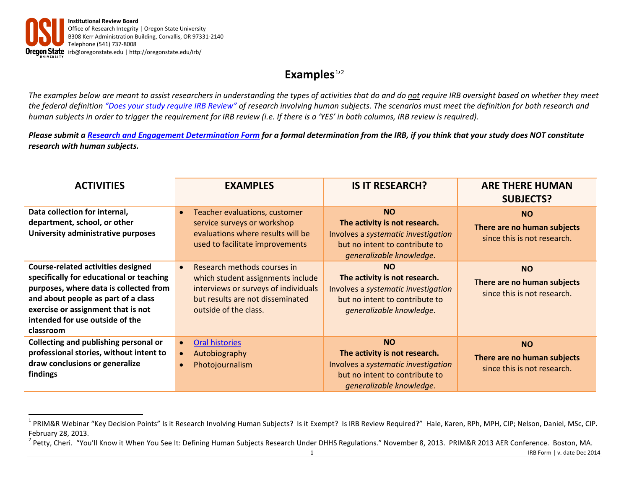$\overline{\phantom{a}}$ 

# <span id="page-0-1"></span><span id="page-0-0"></span>Examples<sup>[1](#page-0-0),[2](#page-0-1)</sup>

*The examples below are meant to assist researchers in understanding the types of activities that do and do not require IRB oversight based on whether they meet the federal definition ["Does your study require IRB Review"](http://research.oregonstate.edu/irb/does-your-study-require-irb-review) of research involving human subjects. The scenarios must meet the definition for both research and human subjects in order to trigger the requirement for IRB review (i.e. If there is a 'YES' in both columns, IRB review is required).*

*Please submit a [Research and Engagement Determination Form](http://research.oregonstate.edu/sites/research.oregonstate.edu/files/irb/determination_form_v12112014.docx) for a formal determination from the IRB, if you think that your study does NOT constitute research with human subjects.* 

| <b>ACTIVITIES</b>                                                                                                                                                                                                                                            | <b>EXAMPLES</b>                                                                                                                                                                    | <b>IS IT RESEARCH?</b>                                                                                                                          | <b>ARE THERE HUMAN</b><br><b>SUBJECTS?</b>                              |
|--------------------------------------------------------------------------------------------------------------------------------------------------------------------------------------------------------------------------------------------------------------|------------------------------------------------------------------------------------------------------------------------------------------------------------------------------------|-------------------------------------------------------------------------------------------------------------------------------------------------|-------------------------------------------------------------------------|
| Data collection for internal,<br>department, school, or other<br>University administrative purposes                                                                                                                                                          | Teacher evaluations, customer<br>$\bullet$<br>service surveys or workshop<br>evaluations where results will be<br>used to facilitate improvements                                  | <b>NO</b><br>The activity is not research.<br>Involves a systematic investigation<br>but no intent to contribute to<br>generalizable knowledge. | <b>NO</b><br>There are no human subjects<br>since this is not research. |
| <b>Course-related activities designed</b><br>specifically for educational or teaching<br>purposes, where data is collected from<br>and about people as part of a class<br>exercise or assignment that is not<br>intended for use outside of the<br>classroom | Research methods courses in<br>$\bullet$<br>which student assignments include<br>interviews or surveys of individuals<br>but results are not disseminated<br>outside of the class. | <b>NO</b><br>The activity is not research.<br>Involves a systematic investigation<br>but no intent to contribute to<br>generalizable knowledge. | <b>NO</b><br>There are no human subjects<br>since this is not research. |
| Collecting and publishing personal or<br>professional stories, without intent to<br>draw conclusions or generalize<br>findings                                                                                                                               | <b>Oral histories</b><br>$\bullet$<br>Autobiography<br>$\bullet$<br>Photojournalism<br>$\bullet$                                                                                   | <b>NO</b><br>The activity is not research.<br>Involves a systematic investigation<br>but no intent to contribute to<br>generalizable knowledge. | <b>NO</b><br>There are no human subjects<br>since this is not research. |

<sup>&</sup>lt;sup>1</sup> PRIM&R Webinar "Key Decision Points" Is it Research Involving Human Subjects? Is it Exempt? Is IRB Review Required?" Hale, Karen, RPh, MPH, CIP; Nelson, Daniel, MSc, CIP. February 28, 2013.

<sup>&</sup>lt;sup>2</sup> Petty, Cheri. "You'll Know it When You See It: Defining Human Subjects Research Under DHHS Regulations." November 8, 2013. PRIM&R 2013 AER Conference. Boston, MA.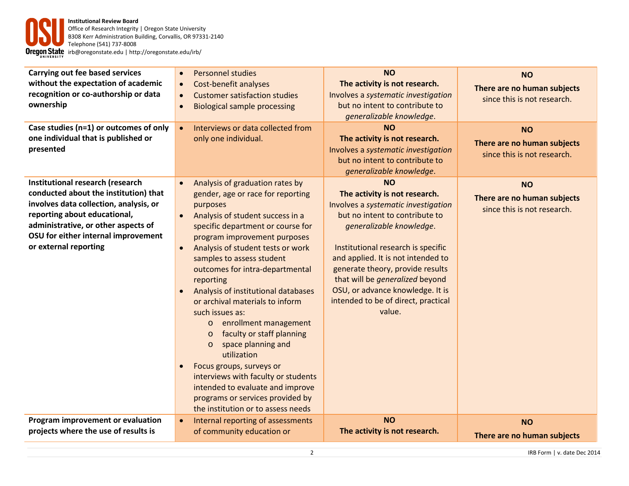

| Carrying out fee based services<br>without the expectation of academic<br>recognition or co-authorship or data<br>ownership                                                                                                                                | <b>Personnel studies</b><br>$\bullet$<br>Cost-benefit analyses<br>$\bullet$<br><b>Customer satisfaction studies</b><br>$\bullet$<br><b>Biological sample processing</b><br>$\bullet$                                                                                                                                                                                                                                                                                                                                                                                                                                                                                                                                                                                                   | <b>NO</b><br>The activity is not research.<br>Involves a systematic investigation<br>but no intent to contribute to<br>generalizable knowledge.                                                                                                                                                                                                                                         | <b>NO</b><br>There are no human subjects<br>since this is not research. |
|------------------------------------------------------------------------------------------------------------------------------------------------------------------------------------------------------------------------------------------------------------|----------------------------------------------------------------------------------------------------------------------------------------------------------------------------------------------------------------------------------------------------------------------------------------------------------------------------------------------------------------------------------------------------------------------------------------------------------------------------------------------------------------------------------------------------------------------------------------------------------------------------------------------------------------------------------------------------------------------------------------------------------------------------------------|-----------------------------------------------------------------------------------------------------------------------------------------------------------------------------------------------------------------------------------------------------------------------------------------------------------------------------------------------------------------------------------------|-------------------------------------------------------------------------|
| Case studies (n=1) or outcomes of only<br>one individual that is published or<br>presented                                                                                                                                                                 | Interviews or data collected from<br>$\bullet$<br>only one individual.                                                                                                                                                                                                                                                                                                                                                                                                                                                                                                                                                                                                                                                                                                                 | <b>NO</b><br>The activity is not research.<br>Involves a systematic investigation<br>but no intent to contribute to<br>generalizable knowledge.                                                                                                                                                                                                                                         | <b>NO</b><br>There are no human subjects<br>since this is not research. |
| Institutional research (research<br>conducted about the institution) that<br>involves data collection, analysis, or<br>reporting about educational,<br>administrative, or other aspects of<br>OSU for either internal improvement<br>or external reporting | Analysis of graduation rates by<br>$\bullet$<br>gender, age or race for reporting<br>purposes<br>Analysis of student success in a<br>$\bullet$<br>specific department or course for<br>program improvement purposes<br>Analysis of student tests or work<br>$\bullet$<br>samples to assess student<br>outcomes for intra-departmental<br>reporting<br>Analysis of institutional databases<br>$\bullet$<br>or archival materials to inform<br>such issues as:<br>enrollment management<br>$\circ$<br>faculty or staff planning<br>$\circ$<br>space planning and<br>$\circ$<br>utilization<br>Focus groups, surveys or<br>$\bullet$<br>interviews with faculty or students<br>intended to evaluate and improve<br>programs or services provided by<br>the institution or to assess needs | <b>NO</b><br>The activity is not research.<br>Involves a systematic investigation<br>but no intent to contribute to<br>generalizable knowledge.<br>Institutional research is specific<br>and applied. It is not intended to<br>generate theory, provide results<br>that will be generalized beyond<br>OSU, or advance knowledge. It is<br>intended to be of direct, practical<br>value. | <b>NO</b><br>There are no human subjects<br>since this is not research. |
| Program improvement or evaluation<br>projects where the use of results is                                                                                                                                                                                  | Internal reporting of assessments<br>$\bullet$<br>of community education or                                                                                                                                                                                                                                                                                                                                                                                                                                                                                                                                                                                                                                                                                                            | <b>NO</b><br>The activity is not research.                                                                                                                                                                                                                                                                                                                                              | <b>NO</b><br>There are no human subjects                                |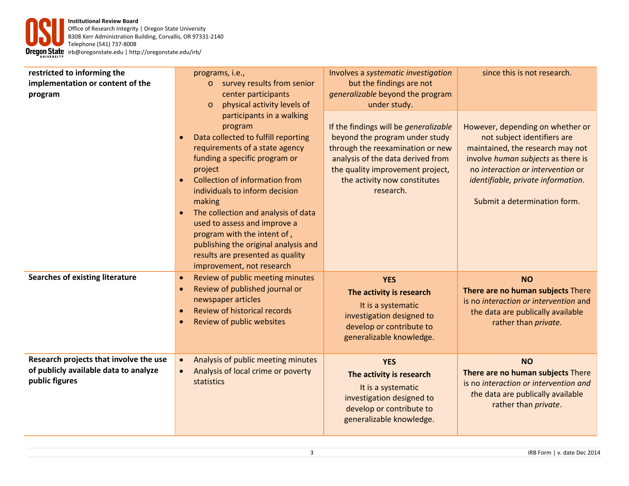| restricted to informing the<br>implementation or content of the<br>program                        | programs, i.e.,<br>o survey results from senior<br>center participants<br>physical activity levels of<br>$\circ$<br>participants in a walking<br>program<br>Data collected to fulfill reporting<br>$\bullet$<br>requirements of a state agency<br>funding a specific program or<br>project<br><b>Collection of information from</b><br>$\bullet$<br>individuals to inform decision<br>making<br>The collection and analysis of data<br>$\bullet$<br>used to assess and improve a<br>program with the intent of,<br>publishing the original analysis and<br>results are presented as quality<br>improvement, not research | Involves a systematic investigation<br>but the findings are not<br>generalizable beyond the program<br>under study.<br>If the findings will be generalizable<br>beyond the program under study<br>through the reexamination or new<br>analysis of the data derived from<br>the quality improvement project,<br>the activity now constitutes<br>research. | since this is not research.<br>However, depending on whether or<br>not subject identifiers are<br>maintained, the research may not<br>involve human subjects as there is<br>no interaction or intervention or<br>identifiable, private information.<br>Submit a determination form. |
|---------------------------------------------------------------------------------------------------|--------------------------------------------------------------------------------------------------------------------------------------------------------------------------------------------------------------------------------------------------------------------------------------------------------------------------------------------------------------------------------------------------------------------------------------------------------------------------------------------------------------------------------------------------------------------------------------------------------------------------|----------------------------------------------------------------------------------------------------------------------------------------------------------------------------------------------------------------------------------------------------------------------------------------------------------------------------------------------------------|-------------------------------------------------------------------------------------------------------------------------------------------------------------------------------------------------------------------------------------------------------------------------------------|
| <b>Searches of existing literature</b>                                                            | Review of public meeting minutes<br>$\bullet$<br>Review of published journal or<br>$\bullet$<br>newspaper articles<br><b>Review of historical records</b><br>$\bullet$<br>Review of public websites<br>$\bullet$                                                                                                                                                                                                                                                                                                                                                                                                         | <b>YES</b><br>The activity is research<br>It is a systematic<br>investigation designed to<br>develop or contribute to<br>generalizable knowledge.                                                                                                                                                                                                        | <b>NO</b><br>There are no human subjects There<br>is no interaction or intervention and<br>the data are publically available<br>rather than private.                                                                                                                                |
| Research projects that involve the use<br>of publicly available data to analyze<br>public figures | Analysis of public meeting minutes<br>$\bullet$<br>Analysis of local crime or poverty<br>$\bullet$<br>statistics                                                                                                                                                                                                                                                                                                                                                                                                                                                                                                         | <b>YES</b><br>The activity is research<br>It is a systematic<br>investigation designed to<br>develop or contribute to<br>generalizable knowledge.                                                                                                                                                                                                        | <b>NO</b><br>There are no human subjects There<br>is no interaction or intervention and<br>the data are publically available<br>rather than private.                                                                                                                                |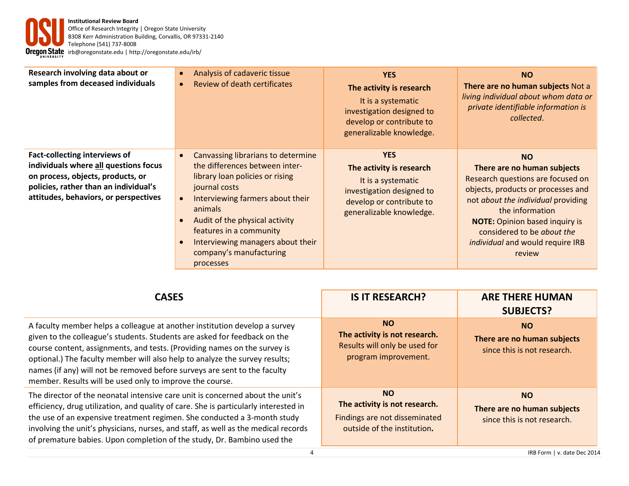| Research involving data about or<br>samples from deceased individuals                                                                                                                                | Analysis of cadaveric tissue<br>$\bullet$<br>Review of death certificates<br>$\bullet$                                                                                                                                                                                                                                                                                | <b>YES</b><br>The activity is research<br>It is a systematic<br>investigation designed to<br>develop or contribute to<br>generalizable knowledge. | <b>NO</b><br>There are no human subjects Not a<br>living individual about whom data or<br>private identifiable information is<br>collected.                                                                                                                                                              |
|------------------------------------------------------------------------------------------------------------------------------------------------------------------------------------------------------|-----------------------------------------------------------------------------------------------------------------------------------------------------------------------------------------------------------------------------------------------------------------------------------------------------------------------------------------------------------------------|---------------------------------------------------------------------------------------------------------------------------------------------------|----------------------------------------------------------------------------------------------------------------------------------------------------------------------------------------------------------------------------------------------------------------------------------------------------------|
| <b>Fact-collecting interviews of</b><br>individuals where all questions focus<br>on process, objects, products, or<br>policies, rather than an individual's<br>attitudes, behaviors, or perspectives | Canvassing librarians to determine<br>$\bullet$<br>the differences between inter-<br>library loan policies or rising<br>journal costs<br>Interviewing farmers about their<br>$\bullet$<br>animals<br>Audit of the physical activity<br>$\bullet$<br>features in a community<br>Interviewing managers about their<br>$\bullet$<br>company's manufacturing<br>processes | <b>YES</b><br>The activity is research<br>It is a systematic<br>investigation designed to<br>develop or contribute to<br>generalizable knowledge. | <b>NO</b><br>There are no human subjects<br>Research questions are focused on<br>objects, products or processes and<br>not about the individual providing<br>the information<br><b>NOTE:</b> Opinion based inquiry is<br>considered to be about the<br><i>individual</i> and would require IRB<br>review |

| <b>CASES</b>                                                                                                                                                                                                                                                                                                                                                                                                                                                 | <b>IS IT RESEARCH?</b>                                                                                     | <b>ARE THERE HUMAN</b><br><b>SUBJECTS?</b>                              |
|--------------------------------------------------------------------------------------------------------------------------------------------------------------------------------------------------------------------------------------------------------------------------------------------------------------------------------------------------------------------------------------------------------------------------------------------------------------|------------------------------------------------------------------------------------------------------------|-------------------------------------------------------------------------|
| A faculty member helps a colleague at another institution develop a survey<br>given to the colleague's students. Students are asked for feedback on the<br>course content, assignments, and tests. (Providing names on the survey is<br>optional.) The faculty member will also help to analyze the survey results;<br>names (if any) will not be removed before surveys are sent to the faculty<br>member. Results will be used only to improve the course. | <b>NO</b><br>The activity is not research.<br>Results will only be used for<br>program improvement.        | <b>NO</b><br>There are no human subjects<br>since this is not research. |
| The director of the neonatal intensive care unit is concerned about the unit's<br>efficiency, drug utilization, and quality of care. She is particularly interested in<br>the use of an expensive treatment regimen. She conducted a 3-month study<br>involving the unit's physicians, nurses, and staff, as well as the medical records<br>of premature babies. Upon completion of the study, Dr. Bambino used the                                          | <b>NO</b><br>The activity is not research.<br>Findings are not disseminated<br>outside of the institution. | <b>NO</b><br>There are no human subjects<br>since this is not research. |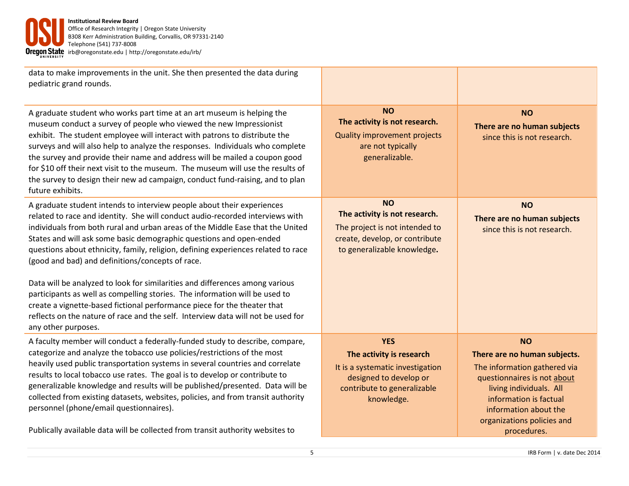

| data to make improvements in the unit. She then presented the data during<br>pediatric grand rounds.                                                                                                                                                                                                                                                                                                                                                                                                                                                                                                                                                                                                                                                                                                            |                                                                                                                                                   |                                                                                                                                                                                                                                     |
|-----------------------------------------------------------------------------------------------------------------------------------------------------------------------------------------------------------------------------------------------------------------------------------------------------------------------------------------------------------------------------------------------------------------------------------------------------------------------------------------------------------------------------------------------------------------------------------------------------------------------------------------------------------------------------------------------------------------------------------------------------------------------------------------------------------------|---------------------------------------------------------------------------------------------------------------------------------------------------|-------------------------------------------------------------------------------------------------------------------------------------------------------------------------------------------------------------------------------------|
| A graduate student who works part time at an art museum is helping the<br>museum conduct a survey of people who viewed the new Impressionist<br>exhibit. The student employee will interact with patrons to distribute the<br>surveys and will also help to analyze the responses. Individuals who complete<br>the survey and provide their name and address will be mailed a coupon good<br>for \$10 off their next visit to the museum. The museum will use the results of<br>the survey to design their new ad campaign, conduct fund-raising, and to plan<br>future exhibits.                                                                                                                                                                                                                               | <b>NO</b><br>The activity is not research.<br><b>Quality improvement projects</b><br>are not typically<br>generalizable.                          | <b>NO</b><br>There are no human subjects<br>since this is not research.                                                                                                                                                             |
| A graduate student intends to interview people about their experiences<br>related to race and identity. She will conduct audio-recorded interviews with<br>individuals from both rural and urban areas of the Middle Ease that the United<br>States and will ask some basic demographic questions and open-ended<br>questions about ethnicity, family, religion, defining experiences related to race<br>(good and bad) and definitions/concepts of race.<br>Data will be analyzed to look for similarities and differences among various<br>participants as well as compelling stories. The information will be used to<br>create a vignette-based fictional performance piece for the theater that<br>reflects on the nature of race and the self. Interview data will not be used for<br>any other purposes. | <b>NO</b><br>The activity is not research.<br>The project is not intended to<br>create, develop, or contribute<br>to generalizable knowledge.     | <b>NO</b><br>There are no human subjects<br>since this is not research.                                                                                                                                                             |
| A faculty member will conduct a federally-funded study to describe, compare,<br>categorize and analyze the tobacco use policies/restrictions of the most<br>heavily used public transportation systems in several countries and correlate<br>results to local tobacco use rates. The goal is to develop or contribute to<br>generalizable knowledge and results will be published/presented. Data will be<br>collected from existing datasets, websites, policies, and from transit authority<br>personnel (phone/email questionnaires).<br>Publically available data will be collected from transit authority websites to                                                                                                                                                                                      | <b>YES</b><br>The activity is research<br>It is a systematic investigation<br>designed to develop or<br>contribute to generalizable<br>knowledge. | <b>NO</b><br>There are no human subjects.<br>The information gathered via<br>questionnaires is not about<br>living individuals. All<br>information is factual<br>information about the<br>organizations policies and<br>procedures. |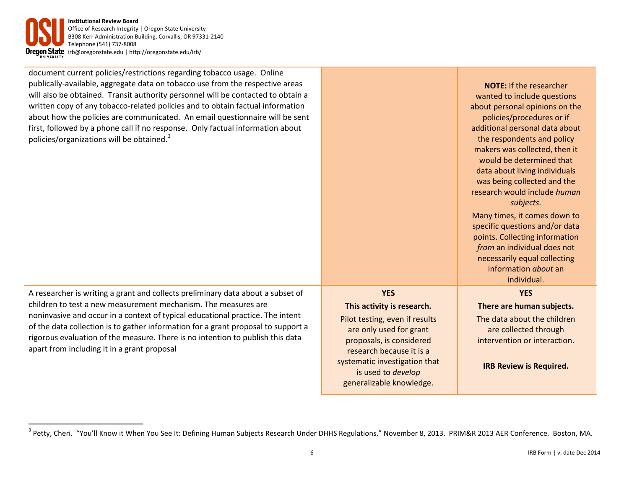document current policies/restrictions regarding tobacco usage. Online publically-available, aggregate data on tobacco use from the respective areas will also be obtained. Transit authority personnel will be contacted to obtain a written copy of any tobacco-related policies and to obtain factual information about how the policies are communicated. An email questionnaire will be sent first, followed by a phone call if no response. Only factual information about policies/organizations will be obtained.<sup>[3](#page-5-0)</sup>

A researcher is writing a grant and collects preliminary data about a subset of children to test a new measurement mechanism. The measures are noninvasive and occur in a context of typical educational practice. The intent of the data collection is to gather information for a grant proposal to support a rigorous evaluation of the measure. There is no intention to publish this data apart from including it in a grant proposal

l

### **YES**

## **This activity is research.**

Pilot testing, even if results are only used for grant proposals, is considered research because it is a systematic investigation that is used to *develop* generalizable knowledge.

<span id="page-5-0"></span>**NOTE:** If the researcher wanted to include questions about personal opinions on the policies/procedures or if additional personal data about the respondents and policy makers was collected, then it would be determined that data about living individuals was being collected and the research would include *human subjects.*

Many times, it comes down to specific questions and/or data points. Collecting information *from* an individual does not necessarily equal collecting information *about* an individual.

#### **YES**

#### **There are human subjects.**

The data about the children are collected through intervention or interaction.

#### **IRB Review is Required.**

6 IRB Form | v. date Dec 2014

<sup>&</sup>lt;sup>3</sup> Petty, Cheri. "You'll Know it When You See It: Defining Human Subjects Research Under DHHS Regulations." November 8, 2013. PRIM&R 2013 AER Conference. Boston, MA.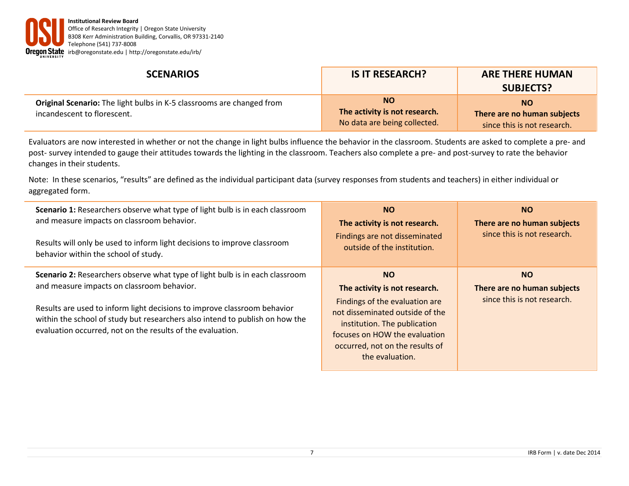

| <b>SCENARIOS</b>                                                                                            | <b>IS IT RESEARCH?</b>                                               | <b>ARE THERE HUMAN</b><br><b>SUBJECTS?</b>                              |
|-------------------------------------------------------------------------------------------------------------|----------------------------------------------------------------------|-------------------------------------------------------------------------|
| <b>Original Scenario:</b> The light bulbs in K-5 classrooms are changed from<br>incandescent to florescent. | NO.<br>The activity is not research.<br>No data are being collected. | <b>NO</b><br>There are no human subjects<br>since this is not research. |

Evaluators are now interested in whether or not the change in light bulbs influence the behavior in the classroom. Students are asked to complete a pre- and post- survey intended to gauge their attitudes towards the lighting in the classroom. Teachers also complete a pre- and post-survey to rate the behavior changes in their students.

Note: In these scenarios, "results" are defined as the individual participant data (survey responses from students and teachers) in either individual or aggregated form.

| <b>Scenario 1:</b> Researchers observe what type of light bulb is in each classroom<br>and measure impacts on classroom behavior.<br>Results will only be used to inform light decisions to improve classroom<br>behavior within the school of study.                                                                                                | <b>NO</b><br>The activity is not research.<br>Findings are not disseminated<br>outside of the institution.                                                                                                                             | <b>NO</b><br>There are no human subjects<br>since this is not research. |
|------------------------------------------------------------------------------------------------------------------------------------------------------------------------------------------------------------------------------------------------------------------------------------------------------------------------------------------------------|----------------------------------------------------------------------------------------------------------------------------------------------------------------------------------------------------------------------------------------|-------------------------------------------------------------------------|
| Scenario 2: Researchers observe what type of light bulb is in each classroom<br>and measure impacts on classroom behavior.<br>Results are used to inform light decisions to improve classroom behavior<br>within the school of study but researchers also intend to publish on how the<br>evaluation occurred, not on the results of the evaluation. | <b>NO</b><br>The activity is not research.<br>Findings of the evaluation are<br>not disseminated outside of the<br>institution. The publication<br>focuses on HOW the evaluation<br>occurred, not on the results of<br>the evaluation. | <b>NO</b><br>There are no human subjects<br>since this is not research. |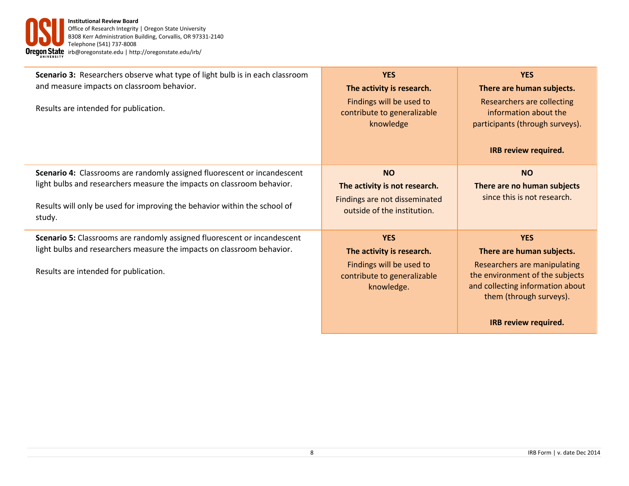

| Scenario 3: Researchers observe what type of light bulb is in each classroom<br>and measure impacts on classroom behavior.<br>Results are intended for publication.                                                                       | <b>YES</b><br>The activity is research.<br>Findings will be used to<br>contribute to generalizable<br>knowledge  | <b>YES</b><br>There are human subjects.<br>Researchers are collecting<br>information about the<br>participants (through surveys).                                                                 |
|-------------------------------------------------------------------------------------------------------------------------------------------------------------------------------------------------------------------------------------------|------------------------------------------------------------------------------------------------------------------|---------------------------------------------------------------------------------------------------------------------------------------------------------------------------------------------------|
|                                                                                                                                                                                                                                           |                                                                                                                  | <b>IRB review required.</b>                                                                                                                                                                       |
| Scenario 4: Classrooms are randomly assigned fluorescent or incandescent<br>light bulbs and researchers measure the impacts on classroom behavior.<br>Results will only be used for improving the behavior within the school of<br>study. | <b>NO</b><br>The activity is not research.<br>Findings are not disseminated<br>outside of the institution.       | <b>NO</b><br>There are no human subjects<br>since this is not research.                                                                                                                           |
| <b>Scenario 5:</b> Classrooms are randomly assigned fluorescent or incandescent<br>light bulbs and researchers measure the impacts on classroom behavior.<br>Results are intended for publication.                                        | <b>YES</b><br>The activity is research.<br>Findings will be used to<br>contribute to generalizable<br>knowledge. | <b>YES</b><br>There are human subjects.<br>Researchers are manipulating<br>the environment of the subjects<br>and collecting information about<br>them (through surveys).<br>IRB review required. |